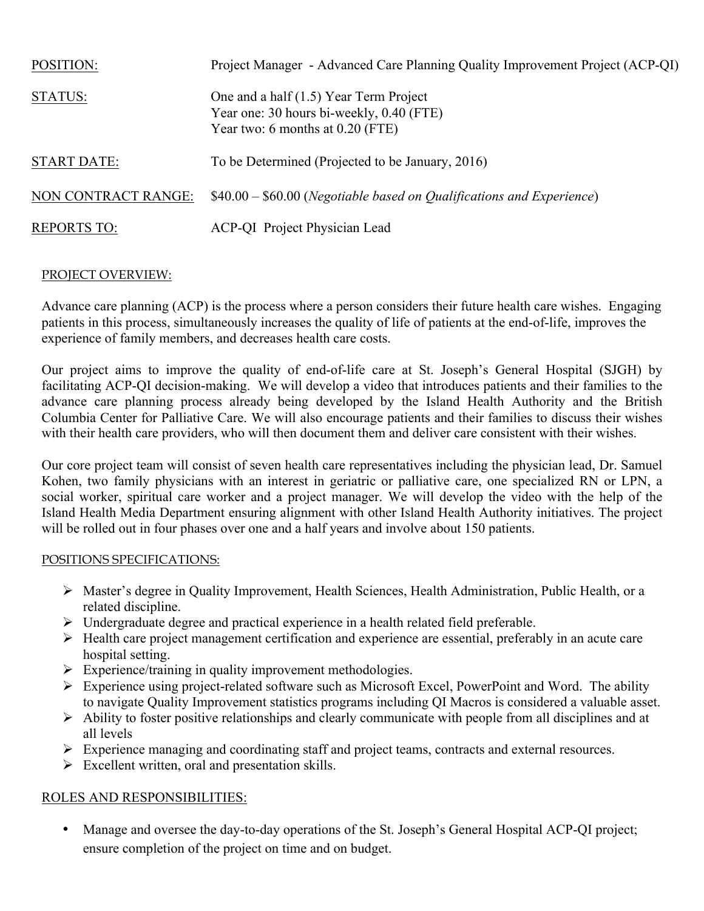| <b>POSITION:</b>           | Project Manager - Advanced Care Planning Quality Improvement Project (ACP-QI)                                            |
|----------------------------|--------------------------------------------------------------------------------------------------------------------------|
| STATUS:                    | One and a half (1.5) Year Term Project<br>Year one: 30 hours bi-weekly, 0.40 (FTE)<br>Year two: 6 months at $0.20$ (FTE) |
| <b>START DATE:</b>         | To be Determined (Projected to be January, 2016)                                                                         |
| <b>NON CONTRACT RANGE:</b> | $$40.00 - $60.00$ (Negotiable based on Qualifications and Experience)                                                    |
| <b>REPORTS TO:</b>         | <b>ACP-QI</b> Project Physician Lead                                                                                     |

## PROJECT OVERVIEW:

Advance care planning (ACP) is the process where a person considers their future health care wishes. Engaging patients in this process, simultaneously increases the quality of life of patients at the end-of-life, improves the experience of family members, and decreases health care costs.

Our project aims to improve the quality of end-of-life care at St. Joseph's General Hospital (SJGH) by facilitating ACP-QI decision-making. We will develop a video that introduces patients and their families to the advance care planning process already being developed by the Island Health Authority and the British Columbia Center for Palliative Care. We will also encourage patients and their families to discuss their wishes with their health care providers, who will then document them and deliver care consistent with their wishes.

Our core project team will consist of seven health care representatives including the physician lead, Dr. Samuel Kohen, two family physicians with an interest in geriatric or palliative care, one specialized RN or LPN, a social worker, spiritual care worker and a project manager. We will develop the video with the help of the Island Health Media Department ensuring alignment with other Island Health Authority initiatives. The project will be rolled out in four phases over one and a half years and involve about 150 patients.

## POSITIONS SPECIFICATIONS:

- Ø Master's degree in Quality Improvement, Health Sciences, Health Administration, Public Health, or a related discipline.
- Ø Undergraduate degree and practical experience in a health related field preferable.
- Ø Health care project management certification and experience are essential, preferably in an acute care hospital setting.
- $\triangleright$  Experience/training in quality improvement methodologies.
- $\triangleright$  Experience using project-related software such as Microsoft Excel, PowerPoint and Word. The ability to navigate Quality Improvement statistics programs including QI Macros is considered a valuable asset.
- $\triangleright$  Ability to foster positive relationships and clearly communicate with people from all disciplines and at all levels
- $\triangleright$  Experience managing and coordinating staff and project teams, contracts and external resources.
- $\triangleright$  Excellent written, oral and presentation skills.

## ROLES AND RESPONSIBILITIES:

• Manage and oversee the day-to-day operations of the St. Joseph's General Hospital ACP-QI project; ensure completion of the project on time and on budget.